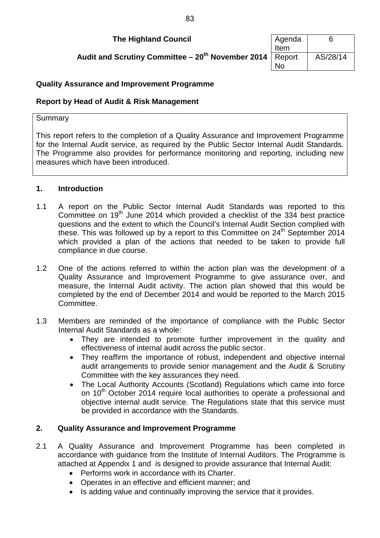## **The Highland Council**

Audit and Scrutiny Committee – 20<sup>th</sup> November 2014

| Agenda | հ        |
|--------|----------|
| Item   |          |
| Report | AS/28/14 |
| N٥     |          |

# **Quality Assurance and Improvement Programme**

## **Report by Head of Audit & Risk Management**

### **Summary**

This report refers to the completion of a Quality Assurance and Improvement Programme for the Internal Audit service, as required by the Public Sector Internal Audit Standards. The Programme also provides for performance monitoring and reporting, including new measures which have been introduced.

## **1. Introduction**

- 1.1 A report on the Public Sector Internal Audit Standards was reported to this Committee on  $19<sup>th</sup>$  June 2014 which provided a checklist of the 334 best practice questions and the extent to which the Council's Internal Audit Section complied with these. This was followed up by a report to this Committee on  $24<sup>th</sup>$  September 2014 which provided a plan of the actions that needed to be taken to provide full compliance in due course.
- 1.2 One of the actions referred to within the action plan was the development of a Quality Assurance and Improvement Programme to give assurance over, and measure, the Internal Audit activity. The action plan showed that this would be completed by the end of December 2014 and would be reported to the March 2015 Committee.
- 1.3 Members are reminded of the importance of compliance with the Public Sector Internal Audit Standards as a whole:
	- They are intended to promote further improvement in the quality and effectiveness of internal audit across the public sector.
	- They reaffirm the importance of robust, independent and objective internal audit arrangements to provide senior management and the Audit & Scrutiny Committee with the key assurances they need.
	- The Local Authority Accounts (Scotland) Regulations which came into force on 10<sup>th</sup> October 2014 require local authorities to operate a professional and objective internal audit service. The Regulations state that this service must be provided in accordance with the Standards.

## **2. Quality Assurance and Improvement Programme**

- 2.1 A Quality Assurance and Improvement Programme has been completed in accordance with guidance from the Institute of Internal Auditors. The Programme is attached at Appendix 1 and is designed to provide assurance that Internal Audit:
	- Performs work in accordance with its Charter.
	- Operates in an effective and efficient manner; and
	- Is adding value and continually improving the service that it provides.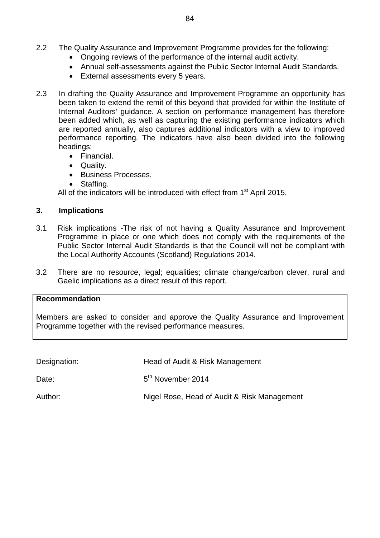- 2.2 The Quality Assurance and Improvement Programme provides for the following:
	- Ongoing reviews of the performance of the internal audit activity.
	- Annual self-assessments against the Public Sector Internal Audit Standards.
	- External assessments every 5 years.
- 2.3 In drafting the Quality Assurance and Improvement Programme an opportunity has been taken to extend the remit of this beyond that provided for within the Institute of Internal Auditors' guidance. A section on performance management has therefore been added which, as well as capturing the existing performance indicators which are reported annually, also captures additional indicators with a view to improved performance reporting. The indicators have also been divided into the following headings:
	- Financial.
	- Quality.
	- Business Processes.
	- Staffing.

All of the indicators will be introduced with effect from  $1<sup>st</sup>$  April 2015.

## **3. Implications**

- 3.1 Risk implications -The risk of not having a Quality Assurance and Improvement Programme in place or one which does not comply with the requirements of the Public Sector Internal Audit Standards is that the Council will not be compliant with the Local Authority Accounts (Scotland) Regulations 2014.
- 3.2 There are no resource, legal; equalities; climate change/carbon clever, rural and Gaelic implications as a direct result of this report.

### **Recommendation**

Members are asked to consider and approve the Quality Assurance and Improvement Programme together with the revised performance measures.

| Designation: | Head of Audit & Risk Management             |
|--------------|---------------------------------------------|
| Date:        | 5 <sup>th</sup> November 2014               |
| Author:      | Nigel Rose, Head of Audit & Risk Management |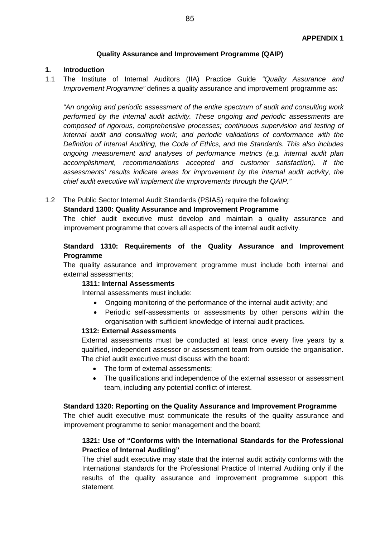### **Quality Assurance and Improvement Programme (QAIP)**

#### **1. Introduction**

1.1 The Institute of Internal Auditors (IIA) Practice Guide *"Quality Assurance and Improvement Programme*" defines a quality assurance and improvement programme as:

*"An ongoing and periodic assessment of the entire spectrum of audit and consulting work performed by the internal audit activity. These ongoing and periodic assessments are composed of rigorous, comprehensive processes; continuous supervision and testing of internal audit and consulting work; and periodic validations of conformance with the Definition of Internal Auditing, the Code of Ethics, and the Standards. This also includes ongoing measurement and analyses of performance metrics (e.g. internal audit plan accomplishment, recommendations accepted and customer satisfaction). If the assessments' results indicate areas for improvement by the internal audit activity, the chief audit executive will implement the improvements through the QAIP."*

1.2 The Public Sector Internal Audit Standards (PSIAS) require the following:

### **Standard 1300: Quality Assurance and Improvement Programme**

The chief audit executive must develop and maintain a quality assurance and improvement programme that covers all aspects of the internal audit activity.

### **Standard 1310: Requirements of the Quality Assurance and Improvement Programme**

The quality assurance and improvement programme must include both internal and external assessments;

#### **1311: Internal Assessments**

Internal assessments must include:

- Ongoing monitoring of the performance of the internal audit activity; and
- Periodic self-assessments or assessments by other persons within the organisation with sufficient knowledge of internal audit practices.

#### **1312: External Assessments**

External assessments must be conducted at least once every five years by a qualified, independent assessor or assessment team from outside the organisation. The chief audit executive must discuss with the board:

- The form of external assessments:
- The qualifications and independence of the external assessor or assessment team, including any potential conflict of interest.

#### **Standard 1320: Reporting on the Quality Assurance and Improvement Programme**

The chief audit executive must communicate the results of the quality assurance and improvement programme to senior management and the board;

### **1321: Use of "Conforms with the International Standards for the Professional Practice of Internal Auditing"**

The chief audit executive may state that the internal audit activity conforms with the International standards for the Professional Practice of Internal Auditing only if the results of the quality assurance and improvement programme support this statement.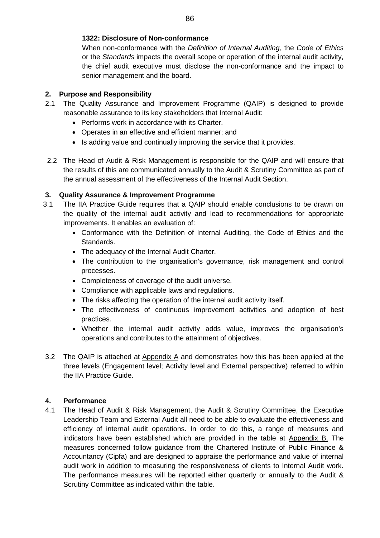### **1322: Disclosure of Non-conformance**

When non-conformance with the *Definition of Internal Auditing,* the *Code of Ethics*  or the *Standards* impacts the overall scope or operation of the internal audit activity, the chief audit executive must disclose the non-conformance and the impact to senior management and the board.

### **2. Purpose and Responsibility**

- 2.1 The Quality Assurance and Improvement Programme (QAIP) is designed to provide reasonable assurance to its key stakeholders that Internal Audit:
	- Performs work in accordance with its Charter.
	- Operates in an effective and efficient manner; and
	- Is adding value and continually improving the service that it provides.
- 2.2 The Head of Audit & Risk Management is responsible for the QAIP and will ensure that the results of this are communicated annually to the Audit & Scrutiny Committee as part of the annual assessment of the effectiveness of the Internal Audit Section.

## **3. Quality Assurance & Improvement Programme**

- 3.1 The IIA Practice Guide requires that a QAIP should enable conclusions to be drawn on the quality of the internal audit activity and lead to recommendations for appropriate improvements. It enables an evaluation of:
	- Conformance with the Definition of Internal Auditing, the Code of Ethics and the Standards.
	- The adequacy of the Internal Audit Charter.
	- The contribution to the organisation's governance, risk management and control processes.
	- Completeness of coverage of the audit universe.
	- Compliance with applicable laws and regulations.
	- The risks affecting the operation of the internal audit activity itself.
	- The effectiveness of continuous improvement activities and adoption of best practices.
	- Whether the internal audit activity adds value, improves the organisation's operations and contributes to the attainment of objectives.
- 3.2 The QAIP is attached at Appendix A and demonstrates how this has been applied at the three levels (Engagement level; Activity level and External perspective) referred to within the IIA Practice Guide.

## **4. Performance**

4.1 The Head of Audit & Risk Management, the Audit & Scrutiny Committee, the Executive Leadership Team and External Audit all need to be able to evaluate the effectiveness and efficiency of internal audit operations. In order to do this, a range of measures and indicators have been established which are provided in the table at Appendix B. The measures concerned follow guidance from the Chartered Institute of Public Finance & Accountancy (Cipfa) and are designed to appraise the performance and value of internal audit work in addition to measuring the responsiveness of clients to Internal Audit work. The performance measures will be reported either quarterly or annually to the Audit & Scrutiny Committee as indicated within the table.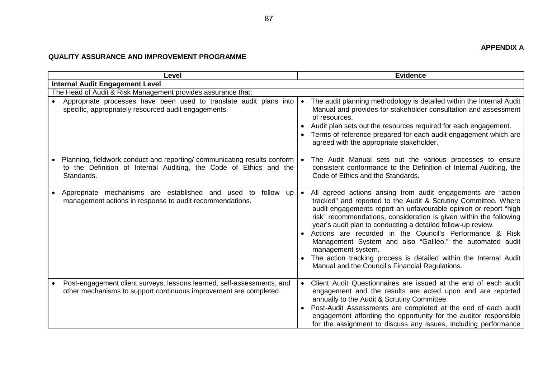# **QUALITY ASSURANCE AND IMPROVEMENT PROGRAMME**

| Level     |                                                                                                                                                             | <b>Evidence</b> |                                                                                                                                                                                                                                                                                                                                                                                                                                                                                                                                                                                                                      |  |
|-----------|-------------------------------------------------------------------------------------------------------------------------------------------------------------|-----------------|----------------------------------------------------------------------------------------------------------------------------------------------------------------------------------------------------------------------------------------------------------------------------------------------------------------------------------------------------------------------------------------------------------------------------------------------------------------------------------------------------------------------------------------------------------------------------------------------------------------------|--|
|           | <b>Internal Audit Engagement Level</b>                                                                                                                      |                 |                                                                                                                                                                                                                                                                                                                                                                                                                                                                                                                                                                                                                      |  |
|           | The Head of Audit & Risk Management provides assurance that:                                                                                                |                 |                                                                                                                                                                                                                                                                                                                                                                                                                                                                                                                                                                                                                      |  |
|           | Appropriate processes have been used to translate audit plans into<br>specific, appropriately resourced audit engagements.                                  |                 | The audit planning methodology is detailed within the Internal Audit<br>Manual and provides for stakeholder consultation and assessment<br>of resources.<br>Audit plan sets out the resources required for each engagement.<br>• Terms of reference prepared for each audit engagement which are<br>agreed with the appropriate stakeholder.                                                                                                                                                                                                                                                                         |  |
|           | Planning, fieldwork conduct and reporting/communicating results conform<br>to the Definition of Internal Auditing, the Code of Ethics and the<br>Standards. |                 | • The Audit Manual sets out the various processes to ensure<br>consistent conformance to the Definition of Internal Auditing, the<br>Code of Ethics and the Standards.                                                                                                                                                                                                                                                                                                                                                                                                                                               |  |
|           | Appropriate mechanisms are established and used to<br>follow up<br>management actions in response to audit recommendations.                                 |                 | • All agreed actions arising from audit engagements are "action<br>tracked" and reported to the Audit & Scrutiny Committee. Where<br>audit engagements report an unfavourable opinion or report "high<br>risk" recommendations, consideration is given within the following<br>year's audit plan to conducting a detailed follow-up review.<br>• Actions are recorded in the Council's Performance & Risk<br>Management System and also "Galileo," the automated audit<br>management system.<br>The action tracking process is detailed within the Internal Audit<br>Manual and the Council's Financial Regulations. |  |
| $\bullet$ | Post-engagement client surveys, lessons learned, self-assessments, and<br>other mechanisms to support continuous improvement are completed.                 |                 | Client Audit Questionnaires are issued at the end of each audit<br>engagement and the results are acted upon and are reported<br>annually to the Audit & Scrutiny Committee.<br>Post-Audit Assessments are completed at the end of each audit<br>engagement affording the opportunity for the auditor responsible<br>for the assignment to discuss any issues, including performance                                                                                                                                                                                                                                 |  |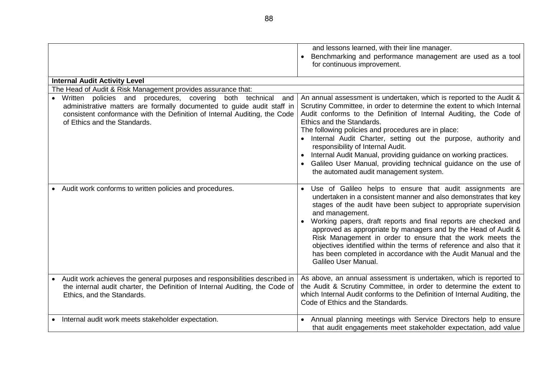|                                                                                                                                                                                                                                                           | and lessons learned, with their line manager.<br>Benchmarking and performance management are used as a tool<br>for continuous improvement.                                                                                                                                                                                                                                                                                                                                                                                                                                                        |
|-----------------------------------------------------------------------------------------------------------------------------------------------------------------------------------------------------------------------------------------------------------|---------------------------------------------------------------------------------------------------------------------------------------------------------------------------------------------------------------------------------------------------------------------------------------------------------------------------------------------------------------------------------------------------------------------------------------------------------------------------------------------------------------------------------------------------------------------------------------------------|
| <b>Internal Audit Activity Level</b>                                                                                                                                                                                                                      |                                                                                                                                                                                                                                                                                                                                                                                                                                                                                                                                                                                                   |
| The Head of Audit & Risk Management provides assurance that:                                                                                                                                                                                              |                                                                                                                                                                                                                                                                                                                                                                                                                                                                                                                                                                                                   |
| Written policies and procedures, covering<br>both technical<br>and<br>administrative matters are formally documented to guide audit staff in<br>consistent conformance with the Definition of Internal Auditing, the Code<br>of Ethics and the Standards. | An annual assessment is undertaken, which is reported to the Audit &<br>Scrutiny Committee, in order to determine the extent to which Internal<br>Audit conforms to the Definition of Internal Auditing, the Code of<br>Ethics and the Standards.<br>The following policies and procedures are in place:<br>• Internal Audit Charter, setting out the purpose, authority and<br>responsibility of Internal Audit.<br>Internal Audit Manual, providing guidance on working practices.<br>Galileo User Manual, providing technical guidance on the use of<br>the automated audit management system. |
| • Audit work conforms to written policies and procedures.                                                                                                                                                                                                 | • Use of Galileo helps to ensure that audit assignments are<br>undertaken in a consistent manner and also demonstrates that key<br>stages of the audit have been subject to appropriate supervision<br>and management.<br>• Working papers, draft reports and final reports are checked and<br>approved as appropriate by managers and by the Head of Audit &<br>Risk Management in order to ensure that the work meets the<br>objectives identified within the terms of reference and also that it<br>has been completed in accordance with the Audit Manual and the<br>Galileo User Manual.     |
| Audit work achieves the general purposes and responsibilities described in<br>the internal audit charter, the Definition of Internal Auditing, the Code of<br>Ethics, and the Standards.                                                                  | As above, an annual assessment is undertaken, which is reported to<br>the Audit & Scrutiny Committee, in order to determine the extent to<br>which Internal Audit conforms to the Definition of Internal Auditing, the<br>Code of Ethics and the Standards.                                                                                                                                                                                                                                                                                                                                       |
| Internal audit work meets stakeholder expectation.                                                                                                                                                                                                        | • Annual planning meetings with Service Directors help to ensure<br>that audit engagements meet stakeholder expectation, add value                                                                                                                                                                                                                                                                                                                                                                                                                                                                |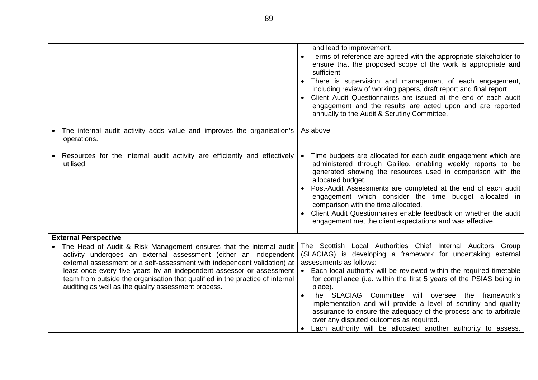|                                                                                                                                                                                                                                                                                                                                                                                                                                     | and lead to improvement.<br>• Terms of reference are agreed with the appropriate stakeholder to<br>ensure that the proposed scope of the work is appropriate and<br>sufficient.<br>There is supervision and management of each engagement,<br>including review of working papers, draft report and final report.<br>• Client Audit Questionnaires are issued at the end of each audit<br>engagement and the results are acted upon and are reported<br>annually to the Audit & Scrutiny Committee.                                                                                                                               |
|-------------------------------------------------------------------------------------------------------------------------------------------------------------------------------------------------------------------------------------------------------------------------------------------------------------------------------------------------------------------------------------------------------------------------------------|----------------------------------------------------------------------------------------------------------------------------------------------------------------------------------------------------------------------------------------------------------------------------------------------------------------------------------------------------------------------------------------------------------------------------------------------------------------------------------------------------------------------------------------------------------------------------------------------------------------------------------|
| The internal audit activity adds value and improves the organisation's<br>operations.                                                                                                                                                                                                                                                                                                                                               | As above                                                                                                                                                                                                                                                                                                                                                                                                                                                                                                                                                                                                                         |
| Resources for the internal audit activity are efficiently and effectively<br>utilised.                                                                                                                                                                                                                                                                                                                                              | Time budgets are allocated for each audit engagement which are<br>$\bullet$<br>administered through Galileo, enabling weekly reports to be<br>generated showing the resources used in comparison with the<br>allocated budget.<br>• Post-Audit Assessments are completed at the end of each audit<br>engagement which consider the time budget allocated in<br>comparison with the time allocated.<br>Client Audit Questionnaires enable feedback on whether the audit<br>engagement met the client expectations and was effective.                                                                                              |
| <b>External Perspective</b>                                                                                                                                                                                                                                                                                                                                                                                                         |                                                                                                                                                                                                                                                                                                                                                                                                                                                                                                                                                                                                                                  |
| The Head of Audit & Risk Management ensures that the internal audit<br>activity undergoes an external assessment (either an independent<br>external assessment or a self-assessment with independent validation) at<br>least once every five years by an independent assessor or assessment<br>team from outside the organisation that qualified in the practice of internal<br>auditing as well as the quality assessment process. | The Scottish Local Authorities Chief Internal Auditors Group<br>(SLACIAG) is developing a framework for undertaking external<br>assessments as follows:<br>• Each local authority will be reviewed within the required timetable<br>for compliance (i.e. within the first 5 years of the PSIAS being in<br>place).<br>• The SLACIAG Committee will oversee<br>the framework's<br>implementation and will provide a level of scrutiny and quality<br>assurance to ensure the adequacy of the process and to arbitrate<br>over any disputed outcomes as required.<br>Each authority will be allocated another authority to assess. |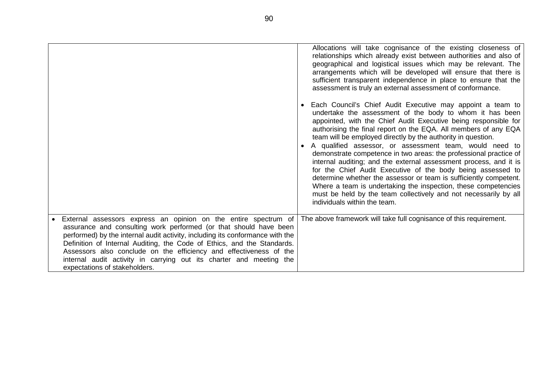|                                                                                                                                                                                                                                                                                                                                                                                                                                                                                | Allocations will take cognisance of the existing closeness of<br>relationships which already exist between authorities and also of<br>geographical and logistical issues which may be relevant. The<br>arrangements which will be developed will ensure that there is<br>sufficient transparent independence in place to ensure that the<br>assessment is truly an external assessment of conformance.<br>• Each Council's Chief Audit Executive may appoint a team to<br>undertake the assessment of the body to whom it has been<br>appointed, with the Chief Audit Executive being responsible for<br>authorising the final report on the EQA. All members of any EQA<br>team will be employed directly by the authority in question.<br>• A qualified assessor, or assessment team, would need to<br>demonstrate competence in two areas: the professional practice of<br>internal auditing; and the external assessment process, and it is<br>for the Chief Audit Executive of the body being assessed to<br>determine whether the assessor or team is sufficiently competent.<br>Where a team is undertaking the inspection, these competencies<br>must be held by the team collectively and not necessarily by all<br>individuals within the team. |
|--------------------------------------------------------------------------------------------------------------------------------------------------------------------------------------------------------------------------------------------------------------------------------------------------------------------------------------------------------------------------------------------------------------------------------------------------------------------------------|-----------------------------------------------------------------------------------------------------------------------------------------------------------------------------------------------------------------------------------------------------------------------------------------------------------------------------------------------------------------------------------------------------------------------------------------------------------------------------------------------------------------------------------------------------------------------------------------------------------------------------------------------------------------------------------------------------------------------------------------------------------------------------------------------------------------------------------------------------------------------------------------------------------------------------------------------------------------------------------------------------------------------------------------------------------------------------------------------------------------------------------------------------------------------------------------------------------------------------------------------------------|
| External assessors express an opinion on the entire spectrum of<br>assurance and consulting work performed (or that should have been<br>performed) by the internal audit activity, including its conformance with the<br>Definition of Internal Auditing, the Code of Ethics, and the Standards.<br>Assessors also conclude on the efficiency and effectiveness of the<br>internal audit activity in carrying out its charter and meeting the<br>expectations of stakeholders. | The above framework will take full cognisance of this requirement.                                                                                                                                                                                                                                                                                                                                                                                                                                                                                                                                                                                                                                                                                                                                                                                                                                                                                                                                                                                                                                                                                                                                                                                        |